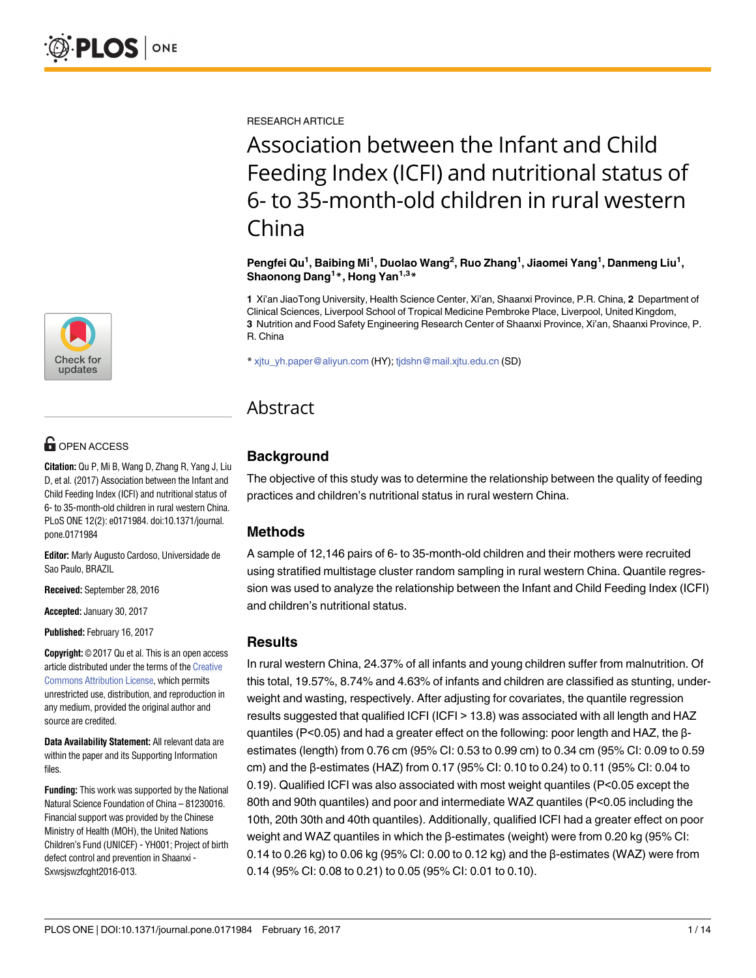

## **OPEN ACCESS**

**Citation:** Qu P, Mi B, Wang D, Zhang R, Yang J, Liu D, et al. (2017) Association between the Infant and Child Feeding Index (ICFI) and nutritional status of 6- to 35-month-old children in rural western China. PLoS ONE 12(2): e0171984. doi:10.1371/journal. pone.0171984

**Editor:** Marly Augusto Cardoso, Universidade de Sao Paulo, BRAZIL

**Received:** September 28, 2016

**Accepted:** January 30, 2017

**Published:** February 16, 2017

**Copyright:** © 2017 Qu et al. This is an open access article distributed under the terms of the [Creative](http://creativecommons.org/licenses/by/4.0/) [Commons](http://creativecommons.org/licenses/by/4.0/) Attribution License, which permits unrestricted use, distribution, and reproduction in any medium, provided the original author and source are credited.

**Data Availability Statement:** All relevant data are within the paper and its Supporting Information files.

**Funding:** This work was supported by the National Natural Science Foundation of China – 81230016. Financial support was provided by the Chinese Ministry of Health (MOH), the United Nations Children's Fund (UNICEF) - YH001; Project of birth defect control and prevention in Shaanxi - Sxwsjswzfcght2016-013.

RESEARCH ARTICLE

# Association between the Infant and Child Feeding Index (ICFI) and nutritional status of 6- to 35-month-old children in rural western China

**Pengfei Qu1 , Baibing Mi1 , Duolao Wang2 , Ruo Zhang1 , Jiaomei Yang1 , Danmeng Liu1 , Shaonong Dang1 \*, Hong Yan1,3\***

**1** Xi'an JiaoTong University, Health Science Center, Xi'an, Shaanxi Province, P.R. China, **2** Department of Clinical Sciences, Liverpool School of Tropical Medicine Pembroke Place, Liverpool, United Kingdom, **3** Nutrition and Food Safety Engineering Research Center of Shaanxi Province, Xi'an, Shaanxi Province, P. R. China

\* xjtu\_yh.paper@aliyun.com (HY); tjdshn@mail.xjtu.edu.cn (SD)

### Abstract

#### **Background**

The objective of this study was to determine the relationship between the quality of feeding practices and children's nutritional status in rural western China.

#### **Methods**

A sample of 12,146 pairs of 6- to 35-month-old children and their mothers were recruited using stratified multistage cluster random sampling in rural western China. Quantile regression was used to analyze the relationship between the Infant and Child Feeding Index (ICFI) and children's nutritional status.

#### **Results**

In rural western China, 24.37% of all infants and young children suffer from malnutrition. Of this total, 19.57%, 8.74% and 4.63% of infants and children are classified as stunting, underweight and wasting, respectively. After adjusting for covariates, the quantile regression results suggested that qualified ICFI (ICFI > 13.8) was associated with all length and HAZ quantiles (P<0.05) and had a greater effect on the following: poor length and HAZ, the βestimates (length) from 0.76 cm (95% CI: 0.53 to 0.99 cm) to 0.34 cm (95% CI: 0.09 to 0.59 cm) and the β-estimates (HAZ) from 0.17 (95% CI: 0.10 to 0.24) to 0.11 (95% CI: 0.04 to 0.19). Qualified ICFI was also associated with most weight quantiles (P<0.05 except the 80th and 90th quantiles) and poor and intermediate WAZ quantiles (P<0.05 including the 10th, 20th 30th and 40th quantiles). Additionally, qualified ICFI had a greater effect on poor weight and WAZ quantiles in which the β-estimates (weight) were from 0.20 kg (95% CI: 0.14 to 0.26 kg) to 0.06 kg (95% CI: 0.00 to 0.12 kg) and the β-estimates (WAZ) were from 0.14 (95% CI: 0.08 to 0.21) to 0.05 (95% CI: 0.01 to 0.10).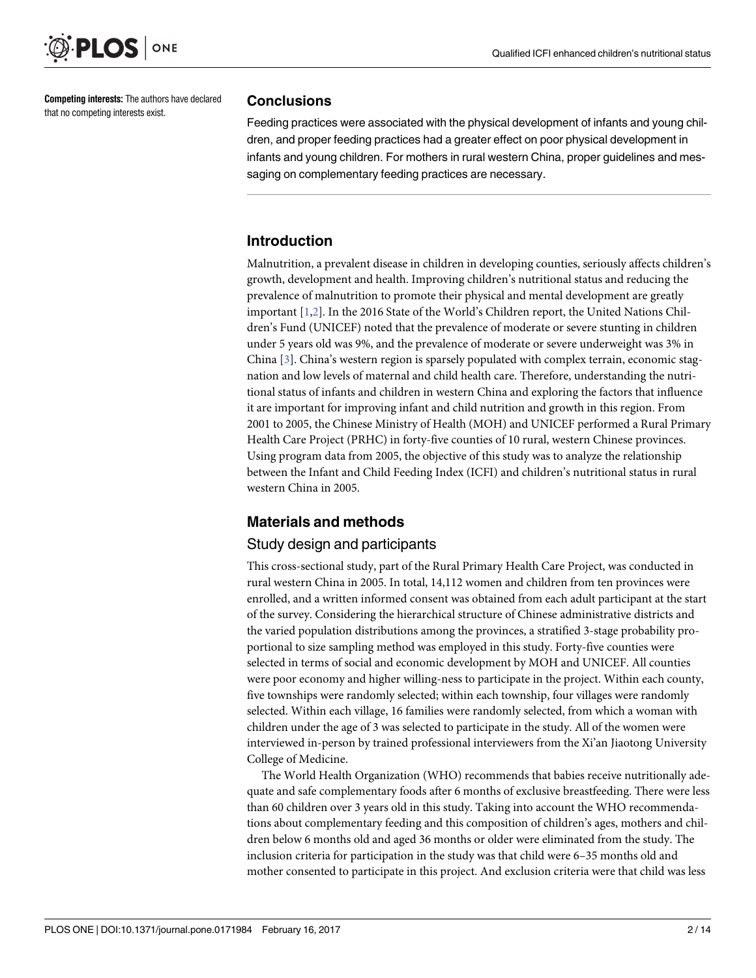<span id="page-1-0"></span>

**Competing interests:** The authors have declared that no competing interests exist.

#### **Conclusions**

Feeding practices were associated with the physical development of infants and young children, and proper feeding practices had a greater effect on poor physical development in infants and young children. For mothers in rural western China, proper guidelines and messaging on complementary feeding practices are necessary.

#### **Introduction**

Malnutrition, a prevalent disease in children in developing counties, seriously affects children's growth, development and health. Improving children's nutritional status and reducing the prevalence of malnutrition to promote their physical and mental development are greatly important [\[1,2\]](#page-12-0). In the 2016 State of the World's Children report, the United Nations Children's Fund (UNICEF) noted that the prevalence of moderate or severe stunting in children under 5 years old was 9%, and the prevalence of moderate or severe underweight was 3% in China [\[3\]](#page-12-0). China's western region is sparsely populated with complex terrain, economic stagnation and low levels of maternal and child health care. Therefore, understanding the nutritional status of infants and children in western China and exploring the factors that influence it are important for improving infant and child nutrition and growth in this region. From 2001 to 2005, the Chinese Ministry of Health (MOH) and UNICEF performed a Rural Primary Health Care Project (PRHC) in forty-five counties of 10 rural, western Chinese provinces. Using program data from 2005, the objective of this study was to analyze the relationship between the Infant and Child Feeding Index (ICFI) and children's nutritional status in rural western China in 2005.

#### **Materials and methods**

#### Study design and participants

This cross-sectional study, part of the Rural Primary Health Care Project, was conducted in rural western China in 2005. In total, 14,112 women and children from ten provinces were enrolled, and a written informed consent was obtained from each adult participant at the start of the survey. Considering the hierarchical structure of Chinese administrative districts and the varied population distributions among the provinces, a stratified 3-stage probability proportional to size sampling method was employed in this study. Forty-five counties were selected in terms of social and economic development by MOH and UNICEF. All counties were poor economy and higher willing-ness to participate in the project. Within each county, five townships were randomly selected; within each township, four villages were randomly selected. Within each village, 16 families were randomly selected, from which a woman with children under the age of 3 was selected to participate in the study. All of the women were interviewed in-person by trained professional interviewers from the Xi'an Jiaotong University College of Medicine.

The World Health Organization (WHO) recommends that babies receive nutritionally adequate and safe complementary foods after 6 months of exclusive breastfeeding. There were less than 60 children over 3 years old in this study. Taking into account the WHO recommendations about complementary feeding and this composition of children's ages, mothers and children below 6 months old and aged 36 months or older were eliminated from the study. The inclusion criteria for participation in the study was that child were 6–35 months old and mother consented to participate in this project. And exclusion criteria were that child was less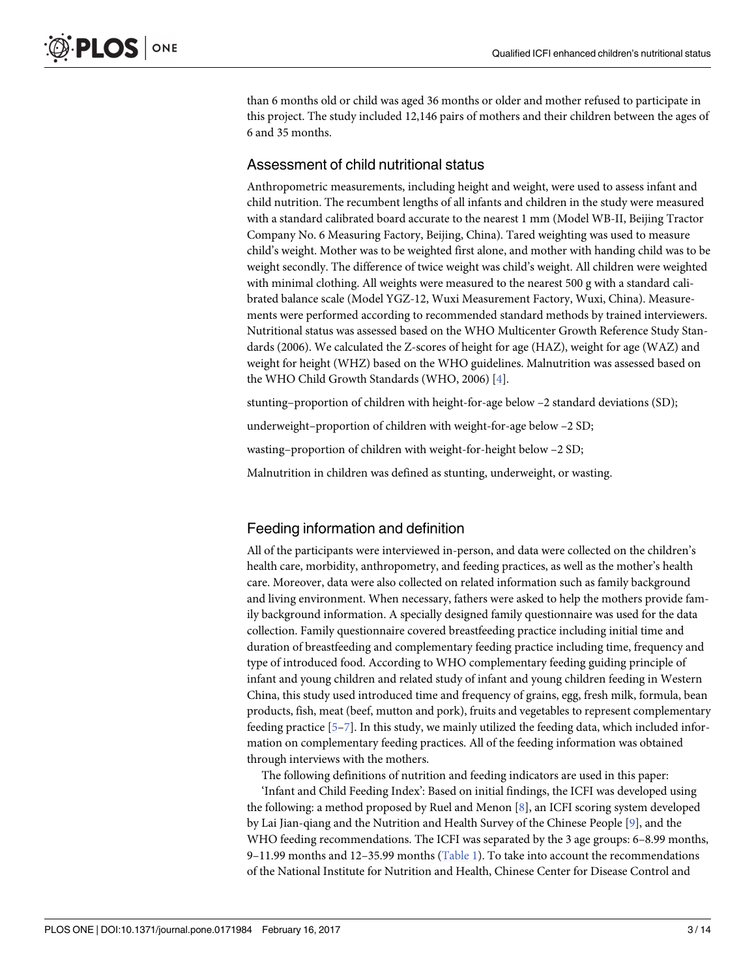<span id="page-2-0"></span>than 6 months old or child was aged 36 months or older and mother refused to participate in this project. The study included 12,146 pairs of mothers and their children between the ages of 6 and 35 months.

#### Assessment of child nutritional status

Anthropometric measurements, including height and weight, were used to assess infant and child nutrition. The recumbent lengths of all infants and children in the study were measured with a standard calibrated board accurate to the nearest 1 mm (Model WB-II, Beijing Tractor Company No. 6 Measuring Factory, Beijing, China). Tared weighting was used to measure child's weight. Mother was to be weighted first alone, and mother with handing child was to be weight secondly. The difference of twice weight was child's weight. All children were weighted with minimal clothing. All weights were measured to the nearest 500 g with a standard calibrated balance scale (Model YGZ-12, Wuxi Measurement Factory, Wuxi, China). Measurements were performed according to recommended standard methods by trained interviewers. Nutritional status was assessed based on the WHO Multicenter Growth Reference Study Standards (2006). We calculated the Z-scores of height for age (HAZ), weight for age (WAZ) and weight for height (WHZ) based on the WHO guidelines. Malnutrition was assessed based on the WHO Child Growth Standards (WHO, 2006) [\[4\]](#page-12-0).

stunting–proportion of children with height-for-age below –2 standard deviations (SD);

underweight–proportion of children with weight-for-age below –2 SD;

wasting–proportion of children with weight-for-height below –2 SD;

Malnutrition in children was defined as stunting, underweight, or wasting.

#### Feeding information and definition

All of the participants were interviewed in-person, and data were collected on the children's health care, morbidity, anthropometry, and feeding practices, as well as the mother's health care. Moreover, data were also collected on related information such as family background and living environment. When necessary, fathers were asked to help the mothers provide family background information. A specially designed family questionnaire was used for the data collection. Family questionnaire covered breastfeeding practice including initial time and duration of breastfeeding and complementary feeding practice including time, frequency and type of introduced food. According to WHO complementary feeding guiding principle of infant and young children and related study of infant and young children feeding in Western China, this study used introduced time and frequency of grains, egg, fresh milk, formula, bean products, fish, meat (beef, mutton and pork), fruits and vegetables to represent complementary feeding practice  $[5-7]$ . In this study, we mainly utilized the feeding data, which included information on complementary feeding practices. All of the feeding information was obtained through interviews with the mothers.

The following definitions of nutrition and feeding indicators are used in this paper:

'Infant and Child Feeding Index': Based on initial findings, the ICFI was developed using the following: a method proposed by Ruel and Menon [\[8](#page-13-0)], an ICFI scoring system developed by Lai Jian-qiang and the Nutrition and Health Survey of the Chinese People [[9\]](#page-13-0), and the WHO feeding recommendations. The ICFI was separated by the 3 age groups: 6–8.99 months, 9–11.99 months and 12–35.99 months ([Table](#page-3-0) 1). To take into account the recommendations of the National Institute for Nutrition and Health, Chinese Center for Disease Control and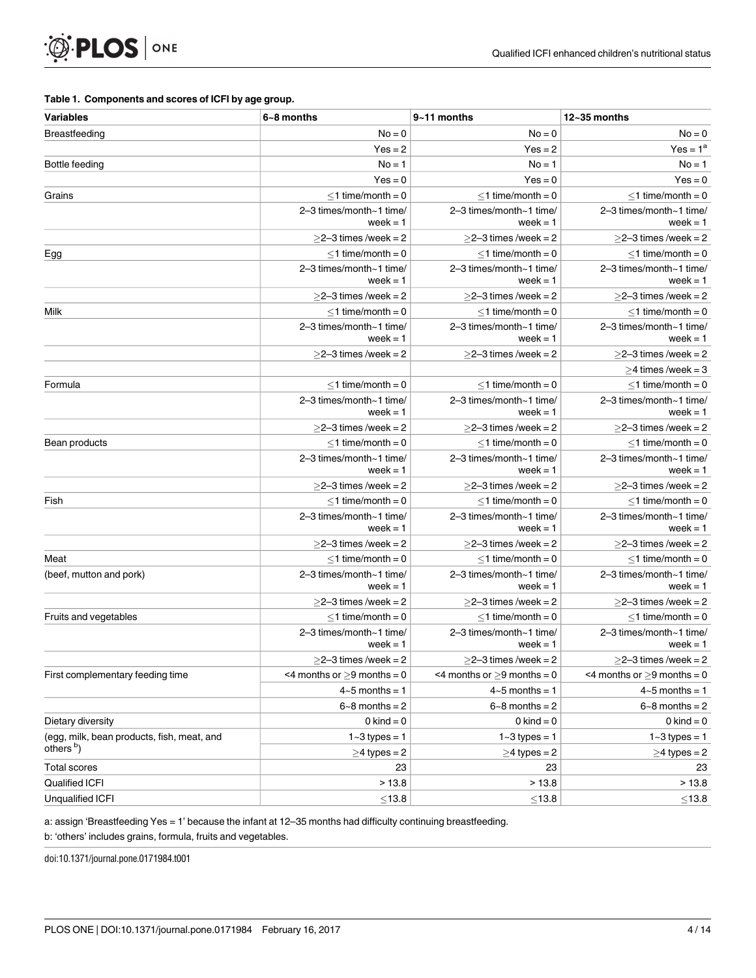<span id="page-3-0"></span>

#### **[Table](#page-2-0) 1. Components and scores of ICFI by age group.**

| Variables                                  | $6 - 8$ months                        | 9~11 months                           | 12~35 months                          |
|--------------------------------------------|---------------------------------------|---------------------------------------|---------------------------------------|
| Breastfeeding                              | $No = 0$                              | $No = 0$                              | $No = 0$                              |
|                                            | $Yes = 2$                             | $Yes = 2$                             | $Yes = 1a$                            |
| Bottle feeding                             | $No = 1$                              | $No = 1$                              | $No = 1$                              |
|                                            | $Yes = 0$                             | $Yes = 0$                             | $Yes = 0$                             |
| Grains                                     | $\leq$ 1 time/month = 0               | $<$ 1 time/month = 0                  | $<$ 1 time/month = 0                  |
|                                            | 2-3 times/month~1 time/<br>week $= 1$ | 2-3 times/month~1 time/<br>$week = 1$ | 2-3 times/month~1 time/<br>week $= 1$ |
|                                            | $>2-3$ times /week = 2                | $>2-3$ times /week = 2                | $>2-3$ times /week = 2                |
| Egg                                        | $\leq$ 1 time/month = 0               | $\leq$ 1 time/month = 0               | $<$ 1 time/month = 0                  |
|                                            | 2-3 times/month~1 time/<br>week $= 1$ | 2-3 times/month~1 time/<br>$week = 1$ | 2-3 times/month~1 time/<br>$week = 1$ |
|                                            | $>2-3$ times /week = 2                | $>2-3$ times /week = 2                | $>2-3$ times /week = 2                |
| Milk                                       | $\leq$ 1 time/month = 0               | $\leq$ 1 time/month = 0               | $<$ 1 time/month = 0                  |
|                                            | 2-3 times/month~1 time/<br>week $= 1$ | 2-3 times/month~1 time/<br>week $= 1$ | 2-3 times/month~1 time/<br>week $= 1$ |
|                                            | $>2-3$ times /week = 2                | $>2-3$ times /week = 2                | $>2-3$ times /week = 2                |
|                                            |                                       |                                       | $\geq$ 4 times /week = 3              |
| Formula                                    | $\leq$ 1 time/month = 0               | $\leq$ 1 time/month = 0               | $<$ 1 time/month = 0                  |
|                                            | 2-3 times/month~1 time/<br>week $= 1$ | 2-3 times/month~1 time/<br>week $= 1$ | 2-3 times/month~1 time/<br>week $= 1$ |
|                                            | $>2-3$ times /week = 2                | $>2-3$ times /week = 2                | $>2-3$ times /week = 2                |
| Bean products                              | $\leq$ 1 time/month = 0               | $<$ 1 time/month = 0                  | $\leq$ 1 time/month = 0               |
|                                            | 2-3 times/month~1 time/<br>week $= 1$ | 2-3 times/month~1 time/<br>week $= 1$ | 2-3 times/month~1 time/<br>week $= 1$ |
|                                            | $>2-3$ times /week = 2                | $>2-3$ times /week = 2                | $>2-3$ times /week = 2                |
| Fish                                       | $\leq$ 1 time/month = 0               | $\leq$ 1 time/month = 0               | $\leq$ 1 time/month = 0               |
|                                            | 2-3 times/month~1 time/<br>week $= 1$ | 2-3 times/month~1 time/<br>week $= 1$ | 2-3 times/month~1 time/<br>week $= 1$ |
|                                            | $>2-3$ times /week = 2                | $>2-3$ times /week = 2                | $>2-3$ times /week = 2                |
| Meat                                       | $\leq$ 1 time/month = 0               | $\leq$ 1 time/month = 0               | $\leq$ 1 time/month = 0               |
| (beef, mutton and pork)                    | 2-3 times/month~1 time/<br>week $= 1$ | 2-3 times/month~1 time/<br>week $= 1$ | 2-3 times/month~1 time/<br>week $= 1$ |
|                                            | $>2-3$ times /week = 2                | $>2-3$ times /week = 2                | $>2-3$ times /week = 2                |
| Fruits and vegetables                      | $\leq$ 1 time/month = 0               | $\leq$ 1 time/month = 0               | $\leq$ 1 time/month = 0               |
|                                            | 2-3 times/month~1 time/<br>week $= 1$ | 2-3 times/month~1 time/<br>week $= 1$ | 2-3 times/month~1 time/<br>week $= 1$ |
|                                            | $>2-3$ times /week = 2                | $>2-3$ times /week = 2                | $>2-3$ times /week = 2                |
| First complementary feeding time           | <4 months or $\geq$ 9 months = 0      | <4 months or $\geq$ 9 months = 0      | <4 months or $\geq$ 9 months = 0      |
|                                            | $4-5$ months = 1                      | $4-5$ months = 1                      | $4-5$ months = 1                      |
|                                            | $6-8$ months = 2                      | $6 - 8$ months = 2                    | $6-8$ months = 2                      |
| Dietary diversity                          | $0$ kind = $0$                        | $0$ kind = $0$                        | $0$ kind = $0$                        |
| (egg, milk, bean products, fish, meat, and | $1 - 3$ types = 1                     | $1 - 3$ types = 1                     | $1 - 3$ types = 1                     |
| others <sup>b</sup> )                      | $>4$ types = 2                        | $\geq$ 4 types = 2                    | $\geq$ 4 types = 2                    |
| <b>Total scores</b>                        | 23                                    | 23                                    | 23                                    |
| Qualified ICFI                             | > 13.8                                | > 13.8                                | > 13.8                                |
| <b>Unqualified ICFI</b>                    | $\leq$ 13.8                           | $\leq$ 13.8                           | ${\le}13.8$                           |

a: assign 'Breastfeeding Yes = 1' because the infant at 12–35 months had difficulty continuing breastfeeding. b: 'others' includes grains, formula, fruits and vegetables.

doi:10.1371/journal.pone.0171984.t001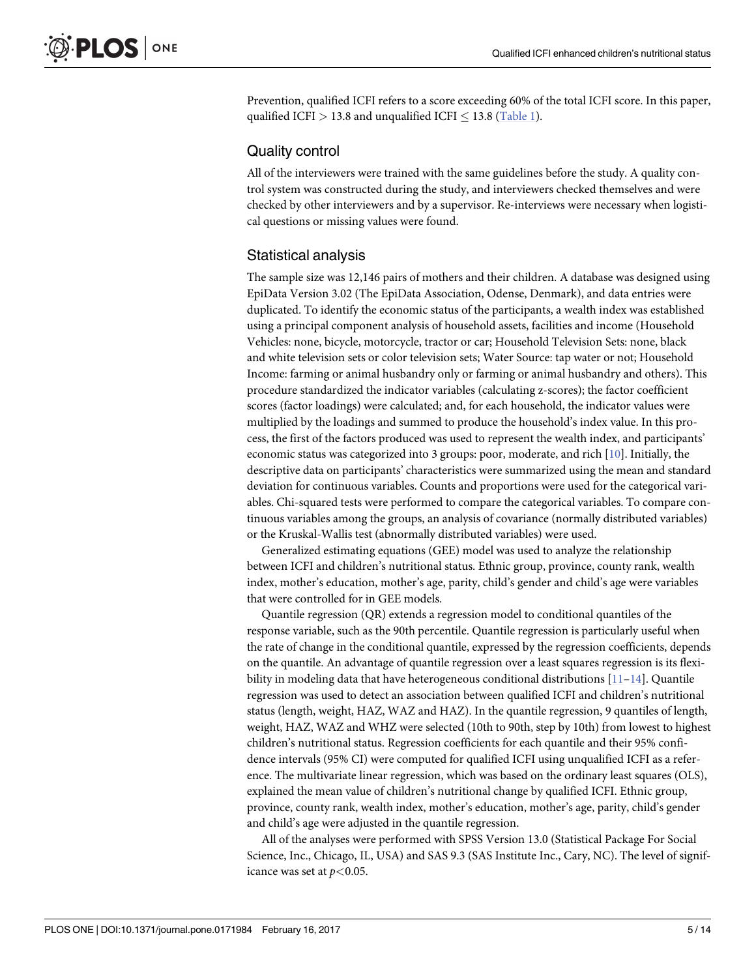<span id="page-4-0"></span>Prevention, qualified ICFI refers to a score exceeding 60% of the total ICFI score. In this paper, qualified ICFI  $>$  13.8 and unqualified ICFI  $\leq$  13.8 ([Table](#page-3-0) 1).

#### Quality control

All of the interviewers were trained with the same guidelines before the study. A quality control system was constructed during the study, and interviewers checked themselves and were checked by other interviewers and by a supervisor. Re-interviews were necessary when logistical questions or missing values were found.

#### Statistical analysis

The sample size was 12,146 pairs of mothers and their children. A database was designed using EpiData Version 3.02 (The EpiData Association, Odense, Denmark), and data entries were duplicated. To identify the economic status of the participants, a wealth index was established using a principal component analysis of household assets, facilities and income (Household Vehicles: none, bicycle, motorcycle, tractor or car; Household Television Sets: none, black and white television sets or color television sets; Water Source: tap water or not; Household Income: farming or animal husbandry only or farming or animal husbandry and others). This procedure standardized the indicator variables (calculating z-scores); the factor coefficient scores (factor loadings) were calculated; and, for each household, the indicator values were multiplied by the loadings and summed to produce the household's index value. In this process, the first of the factors produced was used to represent the wealth index, and participants' economic status was categorized into 3 groups: poor, moderate, and rich [\[10\]](#page-13-0). Initially, the descriptive data on participants' characteristics were summarized using the mean and standard deviation for continuous variables. Counts and proportions were used for the categorical variables. Chi-squared tests were performed to compare the categorical variables. To compare continuous variables among the groups, an analysis of covariance (normally distributed variables) or the Kruskal-Wallis test (abnormally distributed variables) were used.

Generalized estimating equations (GEE) model was used to analyze the relationship between ICFI and children's nutritional status. Ethnic group, province, county rank, wealth index, mother's education, mother's age, parity, child's gender and child's age were variables that were controlled for in GEE models.

Quantile regression (QR) extends a regression model to conditional quantiles of the response variable, such as the 90th percentile. Quantile regression is particularly useful when the rate of change in the conditional quantile, expressed by the regression coefficients, depends on the quantile. An advantage of quantile regression over a least squares regression is its flexibility in modeling data that have heterogeneous conditional distributions  $[11-14]$ . Quantile regression was used to detect an association between qualified ICFI and children's nutritional status (length, weight, HAZ, WAZ and HAZ). In the quantile regression, 9 quantiles of length, weight, HAZ, WAZ and WHZ were selected (10th to 90th, step by 10th) from lowest to highest children's nutritional status. Regression coefficients for each quantile and their 95% confidence intervals (95% CI) were computed for qualified ICFI using unqualified ICFI as a reference. The multivariate linear regression, which was based on the ordinary least squares (OLS), explained the mean value of children's nutritional change by qualified ICFI. Ethnic group, province, county rank, wealth index, mother's education, mother's age, parity, child's gender and child's age were adjusted in the quantile regression.

All of the analyses were performed with SPSS Version 13.0 (Statistical Package For Social Science, Inc., Chicago, IL, USA) and SAS 9.3 (SAS Institute Inc., Cary, NC). The level of significance was set at *p<*0.05.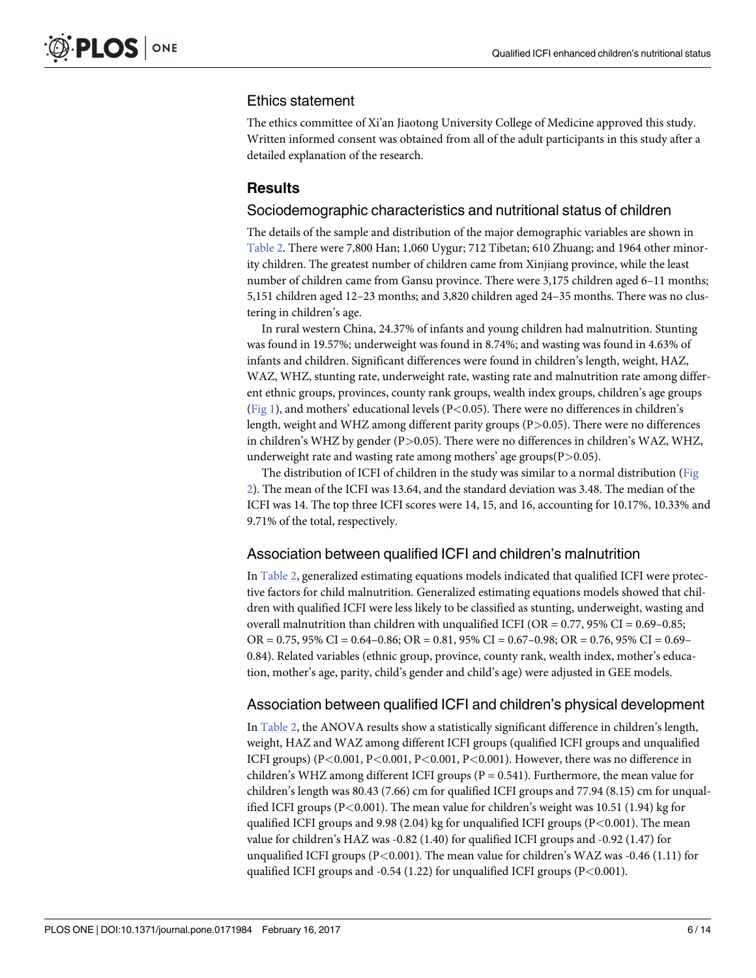#### <span id="page-5-0"></span>Ethics statement

The ethics committee of Xi'an Jiaotong University College of Medicine approved this study. Written informed consent was obtained from all of the adult participants in this study after a detailed explanation of the research.

#### **Results**

#### Sociodemographic characteristics and nutritional status of children

The details of the sample and distribution of the major demographic variables are shown in [Table](#page-6-0) 2. There were 7,800 Han; 1,060 Uygur; 712 Tibetan; 610 Zhuang; and 1964 other minority children. The greatest number of children came from Xinjiang province, while the least number of children came from Gansu province. There were 3,175 children aged 6–11 months; 5,151 children aged 12–23 months; and 3,820 children aged 24–35 months. There was no clustering in children's age.

In rural western China, 24.37% of infants and young children had malnutrition. Stunting was found in 19.57%; underweight was found in 8.74%; and wasting was found in 4.63% of infants and children. Significant differences were found in children's length, weight, HAZ, WAZ, WHZ, stunting rate, underweight rate, wasting rate and malnutrition rate among different ethnic groups, provinces, county rank groups, wealth index groups, children's age groups [\(Fig](#page-8-0) 1), and mothers' educational levels (P*<*0.05). There were no differences in children's length, weight and WHZ among different parity groups (P*>*0.05). There were no differences in children's WHZ by gender (P*>*0.05). There were no differences in children's WAZ, WHZ, underweight rate and wasting rate among mothers' age groups(P*>*0.05).

The distribution of ICFI of children in the study was similar to a normal distribution [\(Fig](#page-9-0) [2\)](#page-9-0). The mean of the ICFI was 13.64, and the standard deviation was 3.48. The median of the ICFI was 14. The top three ICFI scores were 14, 15, and 16, accounting for 10.17%, 10.33% and 9.71% of the total, respectively.

#### Association between qualified ICFI and children's malnutrition

In [Table](#page-6-0) 2, generalized estimating equations models indicated that qualified ICFI were protective factors for child malnutrition. Generalized estimating equations models showed that children with qualified ICFI were less likely to be classified as stunting, underweight, wasting and overall malnutrition than children with unqualified ICFI (OR =  $0.77$ ,  $95\%$  CI =  $0.69-0.85$ ;  $OR = 0.75$ , 95% CI = 0.64–0.86; OR = 0.81, 95% CI = 0.67–0.98; OR = 0.76, 95% CI = 0.69– 0.84). Related variables (ethnic group, province, county rank, wealth index, mother's education, mother's age, parity, child's gender and child's age) were adjusted in GEE models.

#### Association between qualified ICFI and children's physical development

In [Table](#page-6-0) 2, the ANOVA results show a statistically significant difference in children's length, weight, HAZ and WAZ among different ICFI groups (qualified ICFI groups and unqualified ICFI groups) (P*<*0.001, P*<*0.001, P*<*0.001, P*<*0.001). However, there was no difference in children's WHZ among different ICFI groups ( $P = 0.541$ ). Furthermore, the mean value for children's length was 80.43 (7.66) cm for qualified ICFI groups and 77.94 (8.15) cm for unqualified ICFI groups (P*<*0.001). The mean value for children's weight was 10.51 (1.94) kg for qualified ICFI groups and 9.98 (2.04) kg for unqualified ICFI groups (P*<*0.001). The mean value for children's HAZ was -0.82 (1.40) for qualified ICFI groups and -0.92 (1.47) for unqualified ICFI groups (P*<*0.001). The mean value for children's WAZ was -0.46 (1.11) for qualified ICFI groups and -0.54 (1.22) for unqualified ICFI groups (P*<*0.001).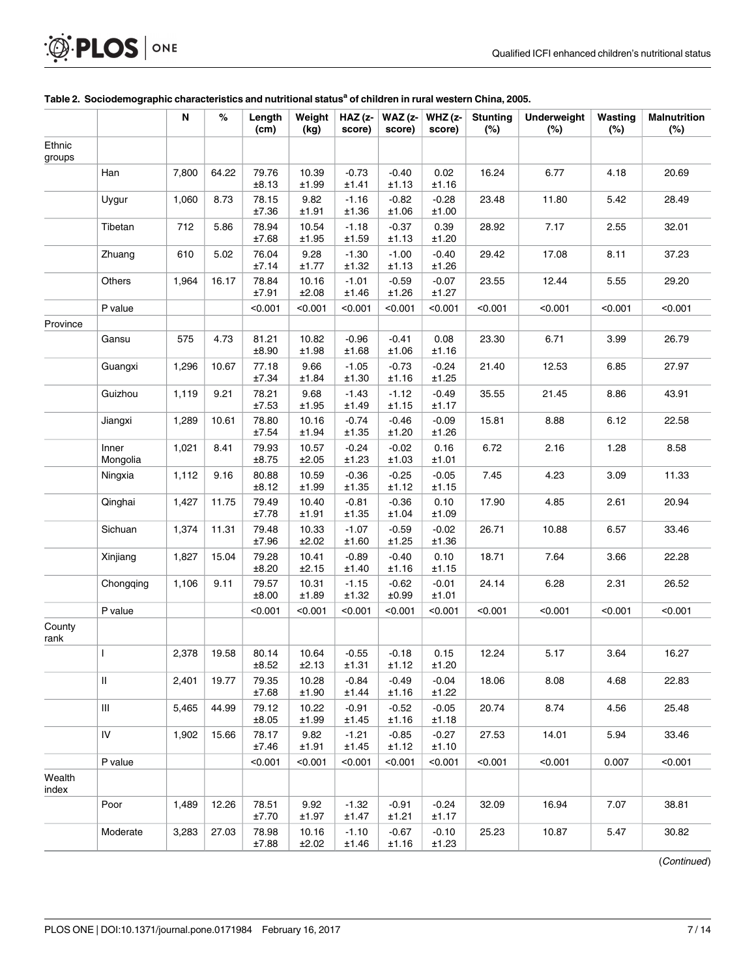# <span id="page-6-0"></span>O PLOS ONE

#### **[Table](#page-5-0) 2. Sociodemographic characteristics and nutritional statusa of children in rural western China, 2005.**

|                  |                   | N     | $\%$  | Length<br>(cm)      | Weight<br>(kg)      | HAZ $(z -$<br>score)  | WAZ (z-<br>score) | WHZ (z-<br>score)     | <b>Stunting</b><br>(%) | <b>Underweight</b><br>$(\%)$ | Wasting<br>$(\%)$ | <b>Malnutrition</b><br>(%) |
|------------------|-------------------|-------|-------|---------------------|---------------------|-----------------------|-------------------|-----------------------|------------------------|------------------------------|-------------------|----------------------------|
| Ethnic<br>groups |                   |       |       |                     |                     |                       |                   |                       |                        |                              |                   |                            |
|                  | Han               | 7,800 | 64.22 | 79.76<br>±8.13      | 10.39<br>±1.99      | $-0.73$<br>±1.41      | $-0.40$<br>±1.13  | 0.02<br>±1.16         | 16.24                  | 6.77                         | 4.18              | 20.69                      |
|                  | Uygur             | 1,060 | 8.73  | 78.15<br>$\pm 7.36$ | 9.82<br>±1.91       | $-1.16$<br>$\pm 1.36$ | $-0.82$<br>±1.06  | $-0.28$<br>±1.00      | 23.48                  | 11.80                        | 5.42              | 28.49                      |
|                  | Tibetan           | 712   | 5.86  | 78.94<br>±7.68      | 10.54<br>±1.95      | $-1.18$<br>$\pm 1.59$ | $-0.37$<br>±1.13  | 0.39<br>±1.20         | 28.92                  | 7.17                         | 2.55              | 32.01                      |
|                  | Zhuang            | 610   | 5.02  | 76.04<br>±7.14      | 9.28<br>±1.77       | $-1.30$<br>±1.32      | $-1.00$<br>±1.13  | $-0.40$<br>±1.26      | 29.42                  | 17.08                        | 8.11              | 37.23                      |
|                  | Others            | 1,964 | 16.17 | 78.84<br>$\pm 7.91$ | 10.16<br>±2.08      | $-1.01$<br>±1.46      | $-0.59$<br>±1.26  | $-0.07$<br>$\pm 1.27$ | 23.55                  | 12.44                        | 5.55              | 29.20                      |
|                  | P value           |       |       | < 0.001             | < 0.001             | < 0.001               | < 0.001           | < 0.001               | < 0.001                | < 0.001                      | < 0.001           | < 0.001                    |
| Province         |                   |       |       |                     |                     |                       |                   |                       |                        |                              |                   |                            |
|                  | Gansu             | 575   | 4.73  | 81.21<br>±8.90      | 10.82<br>±1.98      | $-0.96$<br>±1.68      | $-0.41$<br>±1.06  | 0.08<br>±1.16         | 23.30                  | 6.71                         | 3.99              | 26.79                      |
|                  | Guangxi           | 1,296 | 10.67 | 77.18<br>±7.34      | 9.66<br>±1.84       | $-1.05$<br>±1.30      | $-0.73$<br>±1.16  | $-0.24$<br>±1.25      | 21.40                  | 12.53                        | 6.85              | 27.97                      |
|                  | Guizhou           | 1,119 | 9.21  | 78.21<br>$\pm 7.53$ | 9.68<br>$\pm 1.95$  | $-1.43$<br>±1.49      | $-1.12$<br>±1.15  | $-0.49$<br>±1.17      | 35.55                  | 21.45                        | 8.86              | 43.91                      |
|                  | Jiangxi           | 1,289 | 10.61 | 78.80<br>±7.54      | 10.16<br>±1.94      | $-0.74$<br>±1.35      | $-0.46$<br>±1.20  | $-0.09$<br>±1.26      | 15.81                  | 8.88                         | 6.12              | 22.58                      |
|                  | Inner<br>Mongolia | 1,021 | 8.41  | 79.93<br>±8.75      | 10.57<br>±2.05      | $-0.24$<br>±1.23      | $-0.02$<br>±1.03  | 0.16<br>±1.01         | 6.72                   | 2.16                         | 1.28              | 8.58                       |
|                  | Ningxia           | 1,112 | 9.16  | 80.88<br>±8.12      | 10.59<br>$\pm 1.99$ | $-0.36$<br>±1.35      | $-0.25$<br>±1.12  | $-0.05$<br>±1.15      | 7.45                   | 4.23                         | 3.09              | 11.33                      |
|                  | Qinghai           | 1,427 | 11.75 | 79.49<br>±7.78      | 10.40<br>±1.91      | $-0.81$<br>±1.35      | $-0.36$<br>±1.04  | 0.10<br>±1.09         | 17.90                  | 4.85                         | 2.61              | 20.94                      |
|                  | Sichuan           | 1,374 | 11.31 | 79.48<br>±7.96      | 10.33<br>±2.02      | $-1.07$<br>±1.60      | $-0.59$<br>±1.25  | $-0.02$<br>±1.36      | 26.71                  | 10.88                        | 6.57              | 33.46                      |
|                  | Xinjiang          | 1,827 | 15.04 | 79.28<br>$\pm 8.20$ | 10.41<br>±2.15      | $-0.89$<br>±1.40      | $-0.40$<br>±1.16  | 0.10<br>±1.15         | 18.71                  | 7.64                         | 3.66              | 22.28                      |
|                  | Chongqing         | 1,106 | 9.11  | 79.57<br>±8.00      | 10.31<br>±1.89      | $-1.15$<br>$\pm 1.32$ | $-0.62$<br>±0.99  | $-0.01$<br>±1.01      | 24.14                  | 6.28                         | 2.31              | 26.52                      |
|                  | P value           |       |       | < 0.001             | < 0.001             | < 0.001               | < 0.001           | < 0.001               | < 0.001                | < 0.001                      | < 0.001           | < 0.001                    |
| County<br>rank   |                   |       |       |                     |                     |                       |                   |                       |                        |                              |                   |                            |
|                  | ı                 | 2,378 | 19.58 | 80.14<br>±8.52      | 10.64<br>±2.13      | $-0.55$<br>±1.31      | $-0.18$<br>±1.12  | 0.15<br>±1.20         | 12.24                  | 5.17                         | 3.64              | 16.27                      |
|                  | Ш                 | 2,401 | 19.77 | 79.35<br>±7.68      | 10.28<br>±1.90      | -0.84<br>±1.44        | $-0.49$<br>±1.16  | $-0.04$<br>±1.22      | 18.06                  | 8.08                         | 4.68              | 22.83                      |
|                  | Ш                 | 5,465 | 44.99 | 79.12<br>±8.05      | 10.22<br>±1.99      | $-0.91$<br>±1.45      | $-0.52$<br>±1.16  | $-0.05$<br>±1.18      | 20.74                  | 8.74                         | 4.56              | 25.48                      |
|                  | IV                | 1,902 | 15.66 | 78.17<br>±7.46      | 9.82<br>±1.91       | $-1.21$<br>±1.45      | $-0.85$<br>±1.12  | $-0.27$<br>±1.10      | 27.53                  | 14.01                        | 5.94              | 33.46                      |
|                  | P value           |       |       | < 0.001             | < 0.001             | < 0.001               | <0.001            | < 0.001               | <0.001                 | < 0.001                      | 0.007             | < 0.001                    |
| Wealth<br>index  |                   |       |       |                     |                     |                       |                   |                       |                        |                              |                   |                            |
|                  | Poor              | 1,489 | 12.26 | 78.51<br>±7.70      | 9.92<br>±1.97       | $-1.32$<br>±1.47      | $-0.91$<br>±1.21  | $-0.24$<br>±1.17      | 32.09                  | 16.94                        | 7.07              | 38.81                      |
|                  | Moderate          | 3,283 | 27.03 | 78.98<br>±7.88      | 10.16<br>±2.02      | $-1.10$<br>±1.46      | $-0.67$<br>±1.16  | $-0.10$<br>±1.23      | 25.23                  | 10.87                        | 5.47              | 30.82                      |

(Continued)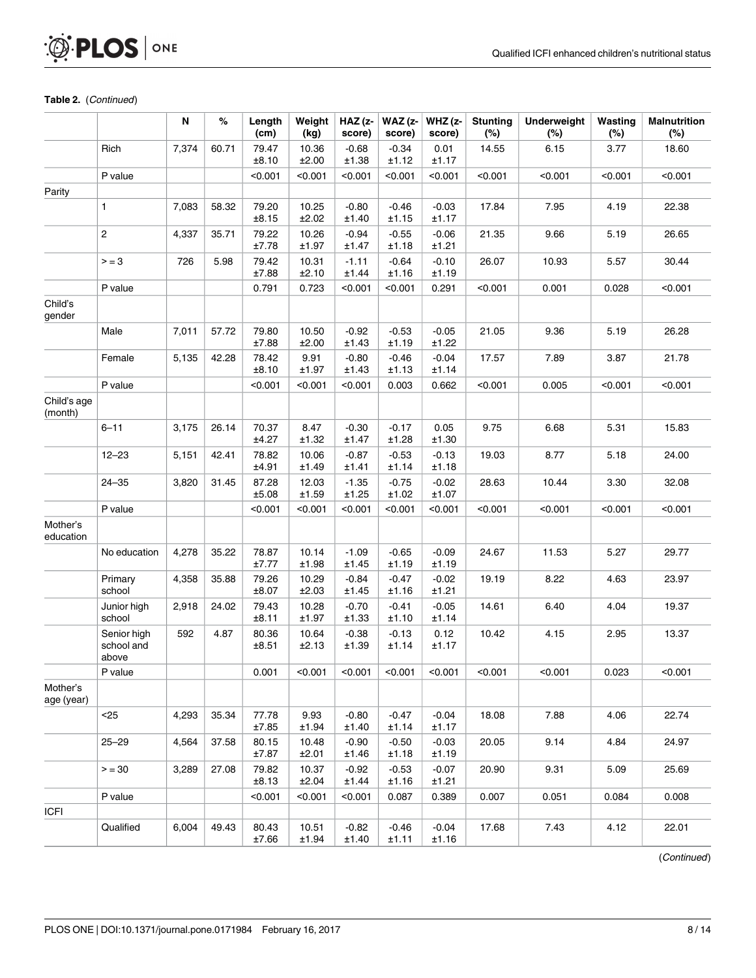#### **Table 2.** (Continued)

**OF PLOS** ONE

|                        |                                    | N     | $\%$  | Length<br>(cm)      | Weight<br>(kg)      | HAZ (z-<br>score)     | WAZ (z-<br>score)     | WHZ (z-<br>score) | <b>Stunting</b><br>(%) | Underweight<br>(%) | Wasting<br>(%) | <b>Malnutrition</b><br>(%) |
|------------------------|------------------------------------|-------|-------|---------------------|---------------------|-----------------------|-----------------------|-------------------|------------------------|--------------------|----------------|----------------------------|
|                        | Rich                               | 7,374 | 60.71 | 79.47               | 10.36               | $-0.68$               | $-0.34$               | 0.01              | 14.55                  | 6.15               | 3.77           | 18.60                      |
|                        |                                    |       |       | ±8.10               | ±2.00               | $\pm 1.38$            | ±1.12                 | ±1.17             |                        |                    |                |                            |
|                        | P value                            |       |       | < 0.001             | < 0.001             | < 0.001               | < 0.001               | < 0.001           | < 0.001                | < 0.001            | < 0.001        | < 0.001                    |
| Parity                 |                                    |       |       |                     |                     |                       |                       |                   |                        |                    |                |                            |
|                        | $\mathbf{1}$                       | 7,083 | 58.32 | 79.20<br>±8.15      | 10.25<br>±2.02      | $-0.80$<br>±1.40      | $-0.46$<br>±1.15      | $-0.03$<br>±1.17  | 17.84                  | 7.95               | 4.19           | 22.38                      |
|                        | $\overline{c}$                     | 4,337 | 35.71 | 79.22<br>$\pm 7.78$ | 10.26<br>$\pm 1.97$ | $-0.94$<br>$\pm 1.47$ | $-0.55$<br>±1.18      | $-0.06$<br>±1.21  | 21.35                  | 9.66               | 5.19           | 26.65                      |
|                        | $>= 3$                             | 726   | 5.98  | 79.42<br>$\pm 7.88$ | 10.31<br>±2.10      | $-1.11$<br>±1.44      | $-0.64$<br>±1.16      | $-0.10$<br>±1.19  | 26.07                  | 10.93              | 5.57           | 30.44                      |
|                        | P value                            |       |       | 0.791               | 0.723               | < 0.001               | < 0.001               | 0.291             | < 0.001                | 0.001              | 0.028          | < 0.001                    |
| Child's<br>gender      |                                    |       |       |                     |                     |                       |                       |                   |                        |                    |                |                            |
|                        | Male                               | 7,011 | 57.72 | 79.80<br>±7.88      | 10.50<br>±2.00      | $-0.92$<br>±1.43      | $-0.53$<br>±1.19      | $-0.05$<br>±1.22  | 21.05                  | 9.36               | 5.19           | 26.28                      |
|                        | Female                             | 5,135 | 42.28 | 78.42<br>±8.10      | 9.91<br>±1.97       | $-0.80$<br>±1.43      | $-0.46$<br>±1.13      | $-0.04$<br>±1.14  | 17.57                  | 7.89               | 3.87           | 21.78                      |
|                        | P value                            |       |       | < 0.001             | < 0.001             | < 0.001               | 0.003                 | 0.662             | < 0.001                | 0.005              | < 0.001        | < 0.001                    |
| Child's age<br>(month) |                                    |       |       |                     |                     |                       |                       |                   |                        |                    |                |                            |
|                        | $6 - 11$                           | 3,175 | 26.14 | 70.37<br>$\pm 4.27$ | 8.47<br>$\pm 1.32$  | $-0.30$<br>±1.47      | $-0.17$<br>±1.28      | 0.05<br>±1.30     | 9.75                   | 6.68               | 5.31           | 15.83                      |
|                        | $12 - 23$                          | 5,151 | 42.41 | 78.82<br>±4.91      | 10.06<br>±1.49      | $-0.87$<br>±1.41      | $-0.53$<br>±1.14      | $-0.13$<br>±1.18  | 19.03                  | 8.77               | 5.18           | 24.00                      |
|                        | $24 - 35$                          | 3,820 | 31.45 | 87.28<br>±5.08      | 12.03<br>$\pm 1.59$ | $-1.35$<br>±1.25      | $-0.75$<br>$\pm 1.02$ | $-0.02$<br>±1.07  | 28.63                  | 10.44              | 3.30           | 32.08                      |
|                        | P value                            |       |       | < 0.001             | < 0.001             | < 0.001               | < 0.001               | < 0.001           | < 0.001                | < 0.001            | < 0.001        | < 0.001                    |
| Mother's<br>education  |                                    |       |       |                     |                     |                       |                       |                   |                        |                    |                |                            |
|                        | No education                       | 4,278 | 35.22 | 78.87<br>±7.77      | 10.14<br>$\pm 1.98$ | $-1.09$<br>±1.45      | $-0.65$<br>±1.19      | $-0.09$<br>±1.19  | 24.67                  | 11.53              | 5.27           | 29.77                      |
|                        | Primary<br>school                  | 4,358 | 35.88 | 79.26<br>±8.07      | 10.29<br>±2.03      | $-0.84$<br>±1.45      | $-0.47$<br>±1.16      | $-0.02$<br>±1.21  | 19.19                  | 8.22               | 4.63           | 23.97                      |
|                        | Junior high<br>school              | 2,918 | 24.02 | 79.43<br>±8.11      | 10.28<br>$\pm 1.97$ | $-0.70$<br>±1.33      | $-0.41$<br>±1.10      | $-0.05$<br>±1.14  | 14.61                  | 6.40               | 4.04           | 19.37                      |
|                        | Senior high<br>school and<br>above | 592   | 4.87  | 80.36<br>±8.51      | 10.64<br>±2.13      | $-0.38$<br>±1.39      | $-0.13$<br>±1.14      | 0.12<br>±1.17     | 10.42                  | 4.15               | 2.95           | 13.37                      |
|                        | P value                            |       |       | 0.001               | < 0.001             | <0.001                | < 0.001               | < 0.001           | < 0.001                | < 0.001            | 0.023          | < 0.001                    |
| Mother's<br>age (year) |                                    |       |       |                     |                     |                       |                       |                   |                        |                    |                |                            |
|                        | $25$                               | 4,293 | 35.34 | 77.78<br>±7.85      | 9.93<br>±1.94       | $-0.80$<br>±1.40      | $-0.47$<br>±1.14      | $-0.04$<br>±1.17  | 18.08                  | 7.88               | 4.06           | 22.74                      |
|                        | $25 - 29$                          | 4,564 | 37.58 | 80.15<br>±7.87      | 10.48<br>±2.01      | $-0.90$<br>±1.46      | $-0.50$<br>±1.18      | $-0.03$<br>±1.19  | 20.05                  | 9.14               | 4.84           | 24.97                      |
|                        | $>= 30$                            | 3,289 | 27.08 | 79.82<br>±8.13      | 10.37<br>±2.04      | $-0.92$<br>±1.44      | $-0.53$<br>±1.16      | $-0.07$<br>±1.21  | 20.90                  | 9.31               | 5.09           | 25.69                      |
|                        | P value                            |       |       | < 0.001             | < 0.001             | <0.001                | 0.087                 | 0.389             | 0.007                  | 0.051              | 0.084          | 0.008                      |
| <b>ICFI</b>            |                                    |       |       |                     |                     |                       |                       |                   |                        |                    |                |                            |
|                        | Qualified                          | 6,004 | 49.43 | 80.43<br>±7.66      | 10.51<br>±1.94      | $-0.82$<br>±1.40      | $-0.46$<br>±1.11      | $-0.04$<br>±1.16  | 17.68                  | 7.43               | 4.12           | 22.01                      |

(Continued)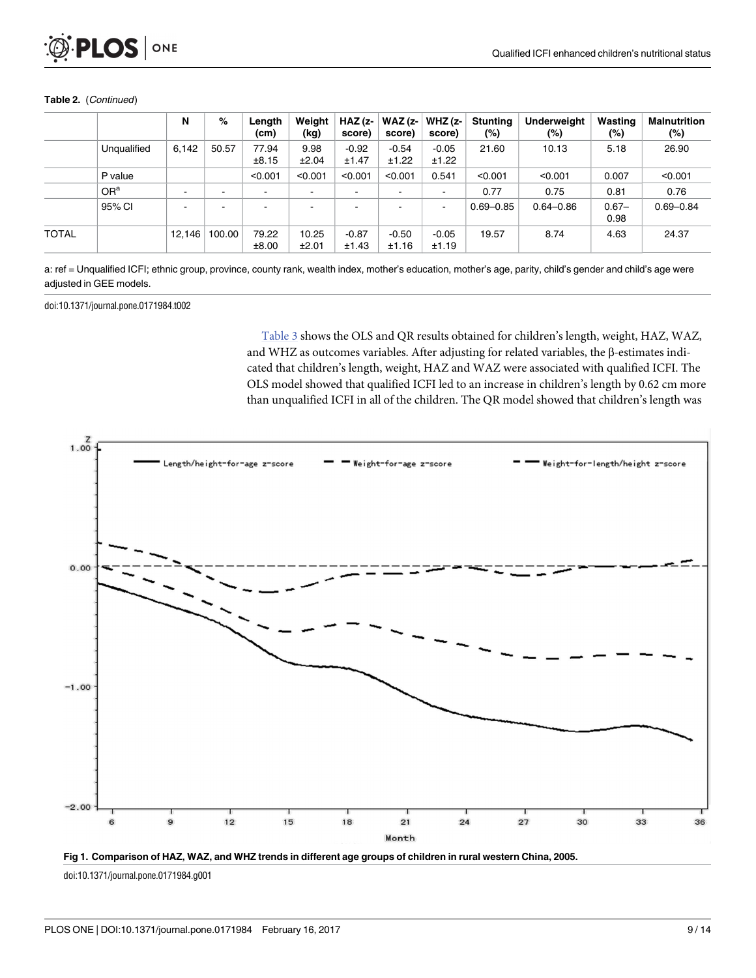#### <span id="page-8-0"></span>**Table 2.** (Continued)

|              |                 | N      | %      | Length<br>(c <sub>m</sub> ) | Weiaht<br>(kg) | HAZ (z-<br>score) | $WAZ(z-)$<br>score) | WHZ (z- $\vert$<br>score) | Stunting<br>$(\%)$ | <b>Underweight</b><br>(%) | Wasting<br>(%)   | <b>Malnutrition</b><br>$(\%)$ |
|--------------|-----------------|--------|--------|-----------------------------|----------------|-------------------|---------------------|---------------------------|--------------------|---------------------------|------------------|-------------------------------|
|              | Unqualified     | 6,142  | 50.57  | 77.94<br>±8.15              | 9.98<br>±2.04  | $-0.92$<br>±1.47  | $-0.54$<br>±1.22    | $-0.05$<br>±1.22          | 21.60              | 10.13                     | 5.18             | 26.90                         |
|              | P value         |        |        | < 0.001                     | < 0.001        | < 0.001           | < 0.001             | 0.541                     | < 0.001            | < 0.001                   | 0.007            | < 0.001                       |
|              | OR <sup>a</sup> |        |        |                             |                |                   |                     | ٠                         | 0.77               | 0.75                      | 0.81             | 0.76                          |
|              | 95% CI          |        |        |                             |                |                   |                     | $\blacksquare$            | $0.69 - 0.85$      | $0.64 - 0.86$             | $0.67 -$<br>0.98 | $0.69 - 0.84$                 |
| <b>TOTAL</b> |                 | 12.146 | 100.00 | 79.22<br>±8.00              | 10.25<br>±2.01 | $-0.87$<br>±1.43  | $-0.50$<br>±1.16    | $-0.05$<br>±1.19          | 19.57              | 8.74                      | 4.63             | 24.37                         |

a: ref = Unqualified ICFI; ethnic group, province, county rank, wealth index, mother's education, mother's age, parity, child's gender and child's age were adjusted in GEE models.

#### doi:10.1371/journal.pone.0171984.t002

[Table](#page-9-0) 3 shows the OLS and QR results obtained for children's length, weight, HAZ, WAZ, and WHZ as outcomes variables. After adjusting for related variables, the β-estimates indicated that children's length, weight, HAZ and WAZ were associated with qualified ICFI. The OLS model showed that qualified ICFI led to an increase in children's length by 0.62 cm more than unqualified ICFI in all of the children. The QR model showed that children's length was





doi:10.1371/journal.pone.0171984.g001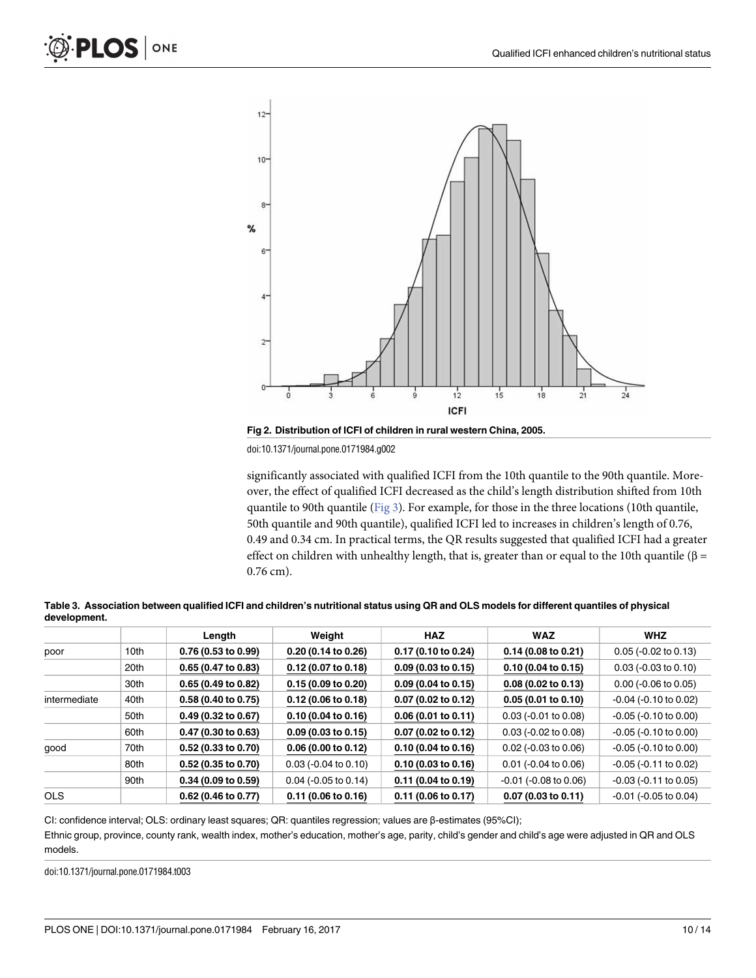<span id="page-9-0"></span>



**[Fig](#page-5-0) 2. Distribution of ICFI of children in rural western China, 2005.**

doi:10.1371/journal.pone.0171984.g002

significantly associated with qualified ICFI from the 10th quantile to the 90th quantile. Moreover, the effect of qualified ICFI decreased as the child's length distribution shifted from 10th quantile to 90th quantile [\(Fig](#page-10-0) 3). For example, for those in the three locations (10th quantile, 50th quantile and 90th quantile), qualified ICFI led to increases in children's length of 0.76, 0.49 and 0.34 cm. In practical terms, the QR results suggested that qualified ICFI had a greater effect on children with unhealthy length, that is, greater than or equal to the 10th quantile ( $\beta$  = 0.76 cm).

|              | Table 3. Association between qualified ICFI and children's nutritional status using QR and OLS models for different quantiles of physical |  |  |
|--------------|-------------------------------------------------------------------------------------------------------------------------------------------|--|--|
| development. |                                                                                                                                           |  |  |

|              |      | Length                  | Weight                        | <b>HAZ</b>         | <b>WAZ</b>                    | <b>WHZ</b>                 |
|--------------|------|-------------------------|-------------------------------|--------------------|-------------------------------|----------------------------|
| poor         | 10th | 0.76(0.53 to 0.99)      | 0.20(0.14 to 0.26)            | 0.17(0.10 to 0.24) | 0.14(0.08 to 0.21)            | $0.05$ (-0.02 to 0.13)     |
|              | 20th | $0.65(0.47)$ to $0.83$  | $0.12(0.07 \text{ to } 0.18)$ | 0.09(0.03 to 0.15) | 0.10(0.04 to 0.15)            | $0.03$ (-0.03 to 0.10)     |
|              | 30th | 0.65(0.49 to 0.82)      | 0.15(0.09 to 0.20)            | 0.09(0.04 to 0.15) | $0.08(0.02 \text{ to } 0.13)$ | $0.00$ (-0.06 to 0.05)     |
| intermediate | 40th | 0.58(0.40 to 0.75)      | 0.12(0.06 to 0.18)            | 0.07(0.02 to 0.12) | 0.05(0.01 to 0.10)            | $-0.04$ ( $-0.10$ to 0.02) |
|              | 50th | 0.49(0.32 to 0.67)      | 0.10(0.04 to 0.16)            | 0.06(0.01 to 0.11) | $0.03$ (-0.01 to 0.08)        | $-0.05$ ( $-0.10$ to 0.00) |
|              | 60th | 0.47(0.30 to 0.63)      | 0.09(0.03 to 0.15)            | 0.07(0.02 to 0.12) | $0.03$ (-0.02 to 0.08)        | $-0.05$ ( $-0.10$ to 0.00) |
| good         | 70th | $0.52(0.33)$ to $0.70)$ | 0.06(0.00 to 0.12)            | 0.10(0.04 to 0.16) | $0.02$ (-0.03 to 0.06)        | $-0.05$ ( $-0.10$ to 0.00) |
|              | 80th | 0.52(0.35 to 0.70)      | $0.03$ (-0.04 to 0.10)        | 0.10(0.03 to 0.16) | $0.01$ (-0.04 to 0.06)        | $-0.05$ ( $-0.11$ to 0.02) |
|              | 90th | 0.34(0.09 to 0.59)      | $0.04$ (-0.05 to 0.14)        | 0.11(0.04 to 0.19) | $-0.01$ ( $-0.08$ to 0.06)    | $-0.03$ ( $-0.11$ to 0.05) |
| <b>OLS</b>   |      | 0.62 (0.46 to 0.77)     | 0.11(0.06 to 0.16)            | 0.11(0.06 to 0.17) | 0.07(0.03 to 0.11)            | $-0.01$ ( $-0.05$ to 0.04) |

CI: confidence interval; OLS: ordinary least squares; QR: quantiles regression; values are β-estimates (95%CI);

Ethnic group, province, county rank, wealth index, mother's education, mother's age, parity, child's gender and child's age were adjusted in QR and OLS models.

doi:10.1371/journal.pone.0171984.t003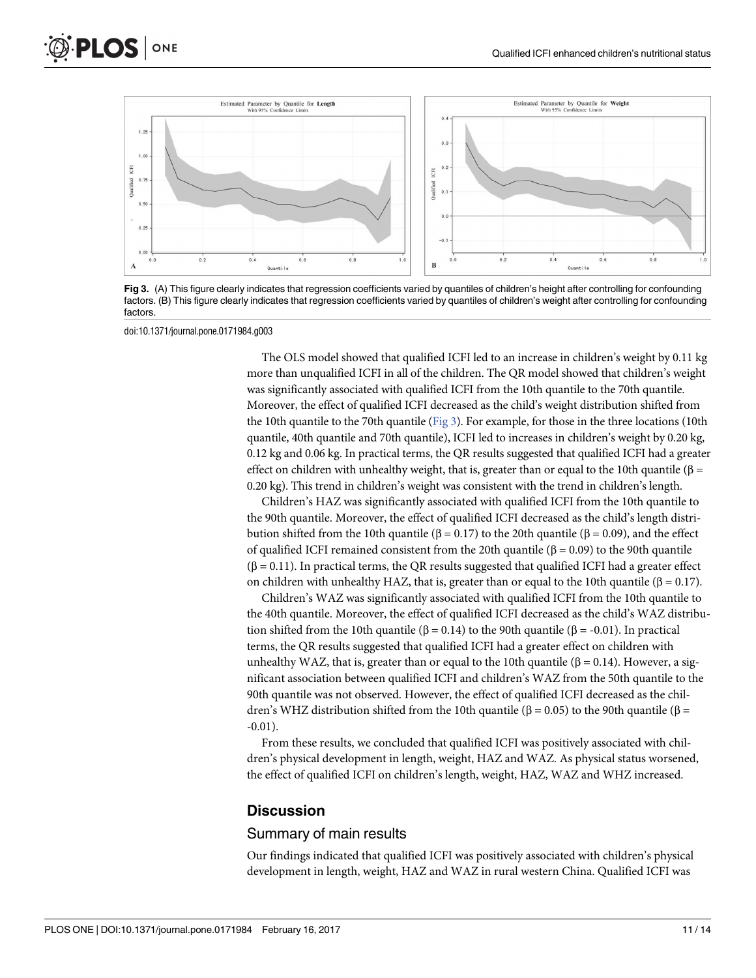<span id="page-10-0"></span>

**[Fig](#page-9-0) 3.** (A) This figure clearly indicates that regression coefficients varied by quantiles of children's height after controlling for confounding factors. (B) This figure clearly indicates that regression coefficients varied by quantiles of children's weight after controlling for confounding factors.

doi:10.1371/journal.pone.0171984.g003

The OLS model showed that qualified ICFI led to an increase in children's weight by 0.11 kg more than unqualified ICFI in all of the children. The QR model showed that children's weight was significantly associated with qualified ICFI from the 10th quantile to the 70th quantile. Moreover, the effect of qualified ICFI decreased as the child's weight distribution shifted from the 10th quantile to the 70th quantile (Fig 3). For example, for those in the three locations (10th quantile, 40th quantile and 70th quantile), ICFI led to increases in children's weight by 0.20 kg, 0.12 kg and 0.06 kg. In practical terms, the QR results suggested that qualified ICFI had a greater effect on children with unhealthy weight, that is, greater than or equal to the 10th quantile ( $\beta$  = 0.20 kg). This trend in children's weight was consistent with the trend in children's length.

Children's HAZ was significantly associated with qualified ICFI from the 10th quantile to the 90th quantile. Moreover, the effect of qualified ICFI decreased as the child's length distribution shifted from the 10th quantile (β = 0.17) to the 20th quantile (β = 0.09), and the effect of qualified ICFI remained consistent from the 20th quantile (β = 0.09) to the 90th quantile  $(β = 0.11)$ . In practical terms, the OR results suggested that qualified ICFI had a greater effect on children with unhealthy HAZ, that is, greater than or equal to the 10th quantile ( $\beta = 0.17$ ).

Children's WAZ was significantly associated with qualified ICFI from the 10th quantile to the 40th quantile. Moreover, the effect of qualified ICFI decreased as the child's WAZ distribution shifted from the 10th quantile (β = 0.14) to the 90th quantile (β = -0.01). In practical terms, the QR results suggested that qualified ICFI had a greater effect on children with unhealthy WAZ, that is, greater than or equal to the 10th quantile ( $\beta$  = 0.14). However, a significant association between qualified ICFI and children's WAZ from the 50th quantile to the 90th quantile was not observed. However, the effect of qualified ICFI decreased as the children's WHZ distribution shifted from the 10th quantile (β = 0.05) to the 90th quantile (β = -0.01).

From these results, we concluded that qualified ICFI was positively associated with children's physical development in length, weight, HAZ and WAZ. As physical status worsened, the effect of qualified ICFI on children's length, weight, HAZ, WAZ and WHZ increased.

#### **Discussion**

#### Summary of main results

Our findings indicated that qualified ICFI was positively associated with children's physical development in length, weight, HAZ and WAZ in rural western China. Qualified ICFI was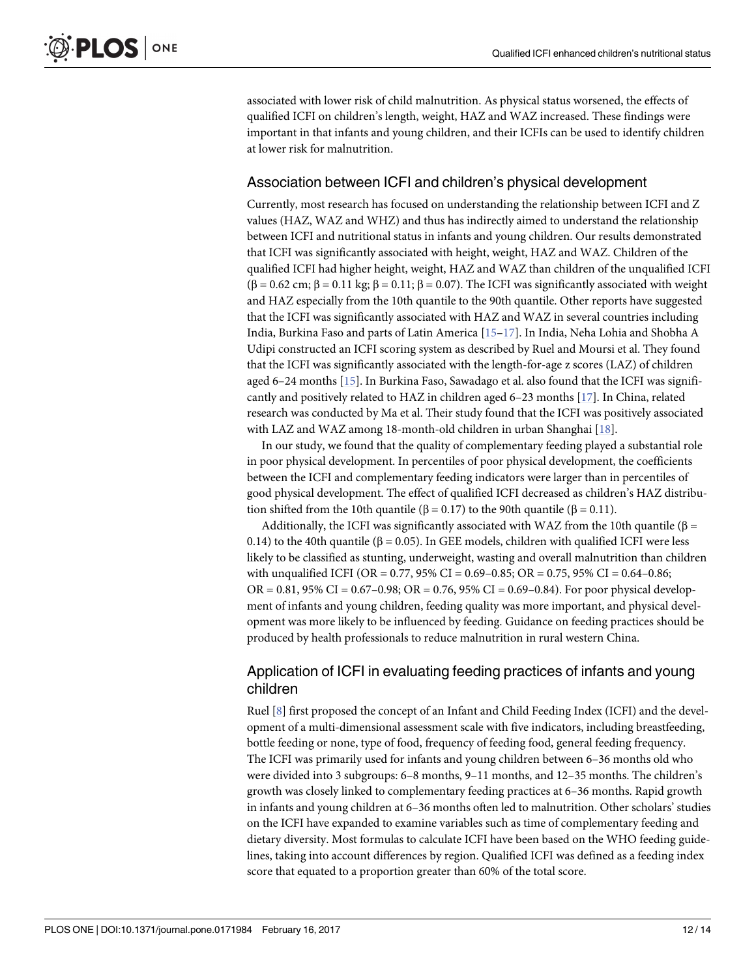<span id="page-11-0"></span>associated with lower risk of child malnutrition. As physical status worsened, the effects of qualified ICFI on children's length, weight, HAZ and WAZ increased. These findings were important in that infants and young children, and their ICFIs can be used to identify children at lower risk for malnutrition.

#### Association between ICFI and children's physical development

Currently, most research has focused on understanding the relationship between ICFI and Z values (HAZ, WAZ and WHZ) and thus has indirectly aimed to understand the relationship between ICFI and nutritional status in infants and young children. Our results demonstrated that ICFI was significantly associated with height, weight, HAZ and WAZ. Children of the qualified ICFI had higher height, weight, HAZ and WAZ than children of the unqualified ICFI ( $\beta$  = 0.62 cm;  $\beta$  = 0.11 kg;  $\beta$  = 0.11;  $\beta$  = 0.07). The ICFI was significantly associated with weight and HAZ especially from the 10th quantile to the 90th quantile. Other reports have suggested that the ICFI was significantly associated with HAZ and WAZ in several countries including India, Burkina Faso and parts of Latin America [[15](#page-13-0)–[17](#page-13-0)]. In India, Neha Lohia and Shobha A Udipi constructed an ICFI scoring system as described by Ruel and Moursi et al. They found that the ICFI was significantly associated with the length-for-age z scores (LAZ) of children aged 6–24 months [[15](#page-13-0)]. In Burkina Faso, Sawadago et al. also found that the ICFI was significantly and positively related to HAZ in children aged 6–23 months [[17](#page-13-0)]. In China, related research was conducted by Ma et al. Their study found that the ICFI was positively associated with LAZ and WAZ among 18-month-old children in urban Shanghai [\[18\]](#page-13-0).

In our study, we found that the quality of complementary feeding played a substantial role in poor physical development. In percentiles of poor physical development, the coefficients between the ICFI and complementary feeding indicators were larger than in percentiles of good physical development. The effect of qualified ICFI decreased as children's HAZ distribution shifted from the 10th quantile ( $\beta$  = 0.17) to the 90th quantile ( $\beta$  = 0.11).

Additionally, the ICFI was significantly associated with WAZ from the 10th quantile ( $\beta$  = 0.14) to the 40th quantile (β = 0.05). In GEE models, children with qualified ICFI were less likely to be classified as stunting, underweight, wasting and overall malnutrition than children with unqualified ICFI (OR = 0.77, 95% CI = 0.69–0.85; OR = 0.75, 95% CI = 0.64–0.86;  $OR = 0.81, 95\% \text{ CI} = 0.67 - 0.98; \text{ OR} = 0.76, 95\% \text{ CI} = 0.69 - 0.84$ ). For poor physical development of infants and young children, feeding quality was more important, and physical development was more likely to be influenced by feeding. Guidance on feeding practices should be produced by health professionals to reduce malnutrition in rural western China.

#### Application of ICFI in evaluating feeding practices of infants and young children

Ruel [[8\]](#page-13-0) first proposed the concept of an Infant and Child Feeding Index (ICFI) and the development of a multi-dimensional assessment scale with five indicators, including breastfeeding, bottle feeding or none, type of food, frequency of feeding food, general feeding frequency. The ICFI was primarily used for infants and young children between 6–36 months old who were divided into 3 subgroups: 6–8 months, 9–11 months, and 12–35 months. The children's growth was closely linked to complementary feeding practices at 6–36 months. Rapid growth in infants and young children at 6–36 months often led to malnutrition. Other scholars' studies on the ICFI have expanded to examine variables such as time of complementary feeding and dietary diversity. Most formulas to calculate ICFI have been based on the WHO feeding guidelines, taking into account differences by region. Qualified ICFI was defined as a feeding index score that equated to a proportion greater than 60% of the total score.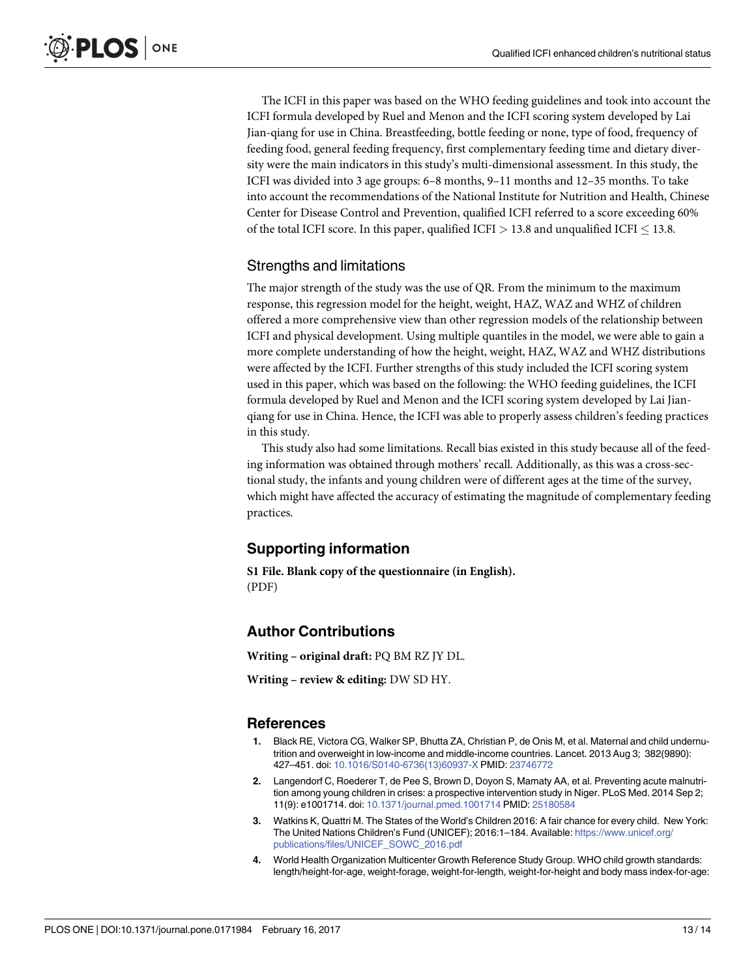<span id="page-12-0"></span>The ICFI in this paper was based on the WHO feeding guidelines and took into account the ICFI formula developed by Ruel and Menon and the ICFI scoring system developed by Lai Jian-qiang for use in China. Breastfeeding, bottle feeding or none, type of food, frequency of feeding food, general feeding frequency, first complementary feeding time and dietary diversity were the main indicators in this study's multi-dimensional assessment. In this study, the ICFI was divided into 3 age groups: 6–8 months, 9–11 months and 12–35 months. To take into account the recommendations of the National Institute for Nutrition and Health, Chinese Center for Disease Control and Prevention, qualified ICFI referred to a score exceeding 60% of the total ICFI score. In this paper, qualified ICFI  $> 13.8$  and unqualified ICFI  $\leq 13.8$ .

#### Strengths and limitations

The major strength of the study was the use of QR. From the minimum to the maximum response, this regression model for the height, weight, HAZ, WAZ and WHZ of children offered a more comprehensive view than other regression models of the relationship between ICFI and physical development. Using multiple quantiles in the model, we were able to gain a more complete understanding of how the height, weight, HAZ, WAZ and WHZ distributions were affected by the ICFI. Further strengths of this study included the ICFI scoring system used in this paper, which was based on the following: the WHO feeding guidelines, the ICFI formula developed by Ruel and Menon and the ICFI scoring system developed by Lai Jianqiang for use in China. Hence, the ICFI was able to properly assess children's feeding practices in this study.

This study also had some limitations. Recall bias existed in this study because all of the feeding information was obtained through mothers' recall. Additionally, as this was a cross-sectional study, the infants and young children were of different ages at the time of the survey, which might have affected the accuracy of estimating the magnitude of complementary feeding practices.

#### **Supporting information**

**S1 [File.](http://www.plosone.org/article/fetchSingleRepresentation.action?uri=info:doi/10.1371/journal.pone.0171984.s001) Blank copy of the questionnaire (in English).** (PDF)

#### **Author Contributions**

**Writing – original draft:** PQ BM RZ JY DL.

**Writing – review & editing:** DW SD HY.

#### **References**

- **[1](#page-1-0).** Black RE, Victora CG, Walker SP, Bhutta ZA, Christian P, de Onis M, et al. Maternal and child undernutrition and overweight in low-income and middle-income countries. Lancet. 2013 Aug 3; 382(9890): 427–451. doi: [10.1016/S0140-6736\(13\)60937-X](http://dx.doi.org/10.1016/S0140-6736(13)60937-X) PMID: [23746772](http://www.ncbi.nlm.nih.gov/pubmed/23746772)
- **[2](#page-1-0).** Langendorf C, Roederer T, de Pee S, Brown D, Doyon S, Mamaty AA, et al. Preventing acute malnutrition among young children in crises: a prospective intervention study in Niger. PLoS Med. 2014 Sep 2; 11(9): e1001714. doi: [10.1371/journal.pmed.1001714](http://dx.doi.org/10.1371/journal.pmed.1001714) PMID: [25180584](http://www.ncbi.nlm.nih.gov/pubmed/25180584)
- **[3](#page-1-0).** Watkins K, Quattri M. The States of the World's Children 2016: A fair chance for every child. New York: The United Nations Children's Fund (UNICEF); 2016:1–184. Available: [https://www.unicef.org/](https://www.unicef.org/publications/files/UNICEF_SOWC_2016.pdf) [publications/files/UNICEF\\_SOWC\\_2016.pdf](https://www.unicef.org/publications/files/UNICEF_SOWC_2016.pdf)
- **[4](#page-2-0).** World Health Organization Multicenter Growth Reference Study Group. WHO child growth standards: length/height-for-age, weight-forage, weight-for-length, weight-for-height and body mass index-for-age: